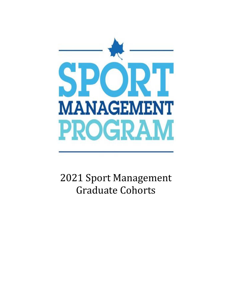

2021 Sport Management Graduate Cohorts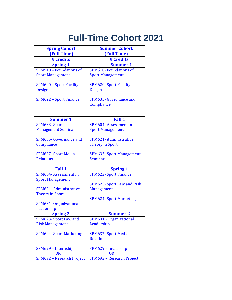## **Full-Time Cohort 2021**

| <b>Spring Cohort</b>                                                                                                                                                                                                                    | <b>Summer Cohort</b>                                                                                                                                                                                                                          |
|-----------------------------------------------------------------------------------------------------------------------------------------------------------------------------------------------------------------------------------------|-----------------------------------------------------------------------------------------------------------------------------------------------------------------------------------------------------------------------------------------------|
| (Full Time)                                                                                                                                                                                                                             | (Full Time)                                                                                                                                                                                                                                   |
| <b>9 credits</b>                                                                                                                                                                                                                        | <b>9 Credits</b>                                                                                                                                                                                                                              |
| <b>Spring 1</b>                                                                                                                                                                                                                         | <b>Summer 1</b>                                                                                                                                                                                                                               |
| SPM510 - Foundations of                                                                                                                                                                                                                 | <b>SPM510- Foundations of</b>                                                                                                                                                                                                                 |
| <b>Sport Management</b>                                                                                                                                                                                                                 | <b>Sport Management</b>                                                                                                                                                                                                                       |
| SPM620 - Sport Facility<br><b>Design</b>                                                                                                                                                                                                | <b>SPM620- Sport Facility</b><br><b>Design</b>                                                                                                                                                                                                |
| <b>SPM622 - Sport Finance</b>                                                                                                                                                                                                           | SPM635- Governance and<br>Compliance                                                                                                                                                                                                          |
| <b>Summer 1</b>                                                                                                                                                                                                                         | <b>Fall 1</b>                                                                                                                                                                                                                                 |
| SPM633-Sport                                                                                                                                                                                                                            | SPM604-Assessment in                                                                                                                                                                                                                          |
| <b>Management Seminar</b>                                                                                                                                                                                                               | <b>Sport Management</b>                                                                                                                                                                                                                       |
| SPM635- Governance and<br>Compliance<br><b>SPM637- Sport Media</b><br><b>Relations</b><br><b>Fall 1</b><br>SPM604- Assessment in<br><b>Sport Management</b><br>SPM621-Administrative<br><b>Theory in Sport</b><br>SPM631-Organizational | SPM621- Administrative<br><b>Theory in Sport</b><br><b>SPM633- Sport Management</b><br>Seminar<br><b>Spring 1</b><br><b>SPM622- Sport Finance</b><br><b>SPM623- Sport Law and Risk</b><br><b>Management</b><br><b>SPM624- Sport Marketing</b> |
| Leadership                                                                                                                                                                                                                              |                                                                                                                                                                                                                                               |
| <b>Spring 2</b>                                                                                                                                                                                                                         | <b>Summer 2</b>                                                                                                                                                                                                                               |
| SPM623- Sport Law and                                                                                                                                                                                                                   | SPM631 - Organizational                                                                                                                                                                                                                       |
| <b>Risk Management</b>                                                                                                                                                                                                                  | Leadership                                                                                                                                                                                                                                    |
| <b>SPM624- Sport Marketing</b>                                                                                                                                                                                                          | <b>SPM637- Sport Media</b><br><b>Relations</b>                                                                                                                                                                                                |
| SPM629 - Internship<br><b>OR</b>                                                                                                                                                                                                        | SPM629 - Internship<br><b>OR</b>                                                                                                                                                                                                              |
| SPM692 - Research Project                                                                                                                                                                                                               | SPM692 - Research Project                                                                                                                                                                                                                     |